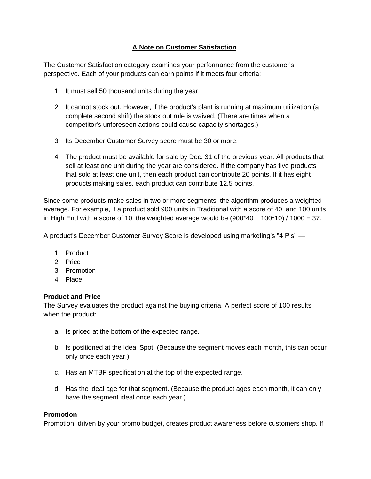## **A Note on Customer Satisfaction**

The Customer Satisfaction category examines your performance from the customer's perspective. Each of your products can earn points if it meets four criteria:

- 1. It must sell 50 thousand units during the year.
- 2. It cannot stock out. However, if the product's plant is running at maximum utilization (a complete second shift) the stock out rule is waived. (There are times when a competitor's unforeseen actions could cause capacity shortages.)
- 3. Its December Customer Survey score must be 30 or more.
- 4. The product must be available for sale by Dec. 31 of the previous year. All products that sell at least one unit during the year are considered. If the company has five products that sold at least one unit, then each product can contribute 20 points. If it has eight products making sales, each product can contribute 12.5 points.

Since some products make sales in two or more segments, the algorithm produces a weighted average. For example, if a product sold 900 units in Traditional with a score of 40, and 100 units in High End with a score of 10, the weighted average would be  $(900*40 + 100*10) / 1000 = 37$ .

A product's December Customer Survey Score is developed using marketing's "4 P's" —

- 1. Product
- 2. Price
- 3. Promotion
- 4. Place

## **Product and Price**

The Survey evaluates the product against the buying criteria. A perfect score of 100 results when the product:

- a. Is priced at the bottom of the expected range.
- b. Is positioned at the Ideal Spot. (Because the segment moves each month, this can occur only once each year.)
- c. Has an MTBF specification at the top of the expected range.
- d. Has the ideal age for that segment. (Because the product ages each month, it can only have the segment ideal once each year.)

## **Promotion**

Promotion, driven by your promo budget, creates product awareness before customers shop. If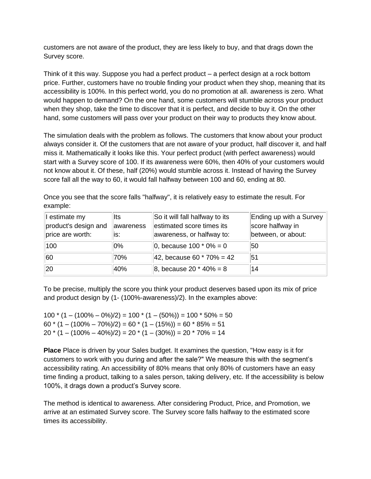customers are not aware of the product, they are less likely to buy, and that drags down the Survey score.

Think of it this way. Suppose you had a perfect product – a perfect design at a rock bottom price. Further, customers have no trouble finding your product when they shop, meaning that its accessibility is 100%. In this perfect world, you do no promotion at all. awareness is zero. What would happen to demand? On the one hand, some customers will stumble across your product when they shop, take the time to discover that it is perfect, and decide to buy it. On the other hand, some customers will pass over your product on their way to products they know about.

The simulation deals with the problem as follows. The customers that know about your product always consider it. Of the customers that are not aware of your product, half discover it, and half miss it. Mathematically it looks like this. Your perfect product (with perfect awareness) would start with a Survey score of 100. If its awareness were 60%, then 40% of your customers would not know about it. Of these, half (20%) would stumble across it. Instead of having the Survey score fall all the way to 60, it would fall halfway between 100 and 60, ending at 80.

Once you see that the score falls "halfway", it is relatively easy to estimate the result. For example:

| I estimate my<br>product's design and<br>price are worth: | llts<br>awareness<br>is: | So it will fall halfway to its<br>estimated score times its<br>awareness, or halfway to: | Ending up with a Survey<br>score halfway in<br>between, or about: |
|-----------------------------------------------------------|--------------------------|------------------------------------------------------------------------------------------|-------------------------------------------------------------------|
| 100                                                       | $0\%$                    | 0, because $100 * 0\% = 0$                                                               | 50                                                                |
| 60                                                        | 70%                      | 42, because 60 $*$ 70% = 42                                                              | 51                                                                |
| 20                                                        | 40%                      | 8, because 20 $*$ 40% = 8                                                                | 14                                                                |

To be precise, multiply the score you think your product deserves based upon its mix of price and product design by (1- (100%-awareness)/2). In the examples above:

 $100 * (1 - (100\% - 0\%)/2) = 100 * (1 - (50\%)) = 100 * 50\% = 50$  $60 * (1 - (100\% - 70\%)/2) = 60 * (1 - (15\%)) = 60 * 85\% = 51$  $20 * (1 - (100\% - 40\%)/2) = 20 * (1 - (30\%)) = 20 * 70\% = 14$ 

**Place** Place is driven by your Sales budget. It examines the question, "How easy is it for customers to work with you during and after the sale?" We measure this with the segment's accessibility rating. An accessibility of 80% means that only 80% of customers have an easy time finding a product, talking to a sales person, taking delivery, etc. If the accessibility is below 100%, it drags down a product's Survey score.

The method is identical to awareness. After considering Product, Price, and Promotion, we arrive at an estimated Survey score. The Survey score falls halfway to the estimated score times its accessibility.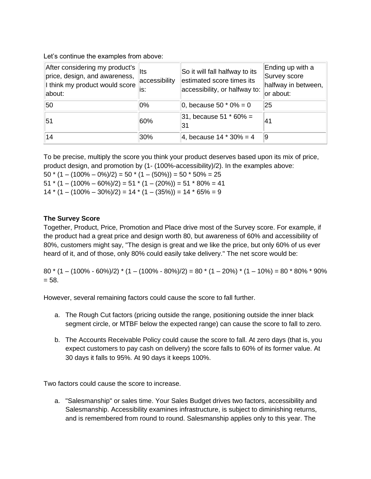Let's continue the examples from above:

| After considering my product's<br>price, design, and awareness,<br>I think my product would score<br>about: | Its<br>accessibility<br>is: | So it will fall halfway to its<br>estimated score times its<br>accessibility, or halfway to: | Ending up with a<br>Survey score<br>halfway in between,<br>or about: |
|-------------------------------------------------------------------------------------------------------------|-----------------------------|----------------------------------------------------------------------------------------------|----------------------------------------------------------------------|
| 50                                                                                                          | 0%                          | 0, because 50 $*$ 0% = 0                                                                     | 25                                                                   |
| 51                                                                                                          | 60%                         | 31, because 51 $*$ 60% =<br>31                                                               | ∣41                                                                  |
| 14                                                                                                          | 30%                         | 4, because $14 * 30\% = 4$                                                                   | 19                                                                   |

To be precise, multiply the score you think your product deserves based upon its mix of price, product design, and promotion by (1- (100%-accessibility)/2). In the examples above:

 $50 * (1 - (100\% - 0\%)/2) = 50 * (1 - (50\%)) = 50 * 50\% = 25$  $51 * (1 - (100\% - 60\%)/2) = 51 * (1 - (20\%)) = 51 * 80\% = 41$  $14 * (1 - (100\% - 30\%)/2) = 14 * (1 - (35\%)) = 14 * 65\% = 9$ 

## **The Survey Score**

Together, Product, Price, Promotion and Place drive most of the Survey score. For example, if the product had a great price and design worth 80, but awareness of 60% and accessibility of 80%, customers might say, "The design is great and we like the price, but only 60% of us ever heard of it, and of those, only 80% could easily take delivery." The net score would be:

80  $*(1 - (100\% - 60\%)/2) * (1 - (100\% - 80\%)/2) = 80 * (1 - 20\%) * (1 - 10\%) = 80 * 80\% * 90\%$  $= 58.$ 

However, several remaining factors could cause the score to fall further.

- a. The Rough Cut factors (pricing outside the range, positioning outside the inner black segment circle, or MTBF below the expected range) can cause the score to fall to zero.
- b. The Accounts Receivable Policy could cause the score to fall. At zero days (that is, you expect customers to pay cash on delivery) the score falls to 60% of its former value. At 30 days it falls to 95%. At 90 days it keeps 100%.

Two factors could cause the score to increase.

a. "Salesmanship" or sales time. Your Sales Budget drives two factors, accessibility and Salesmanship. Accessibility examines infrastructure, is subject to diminishing returns, and is remembered from round to round. Salesmanship applies only to this year. The